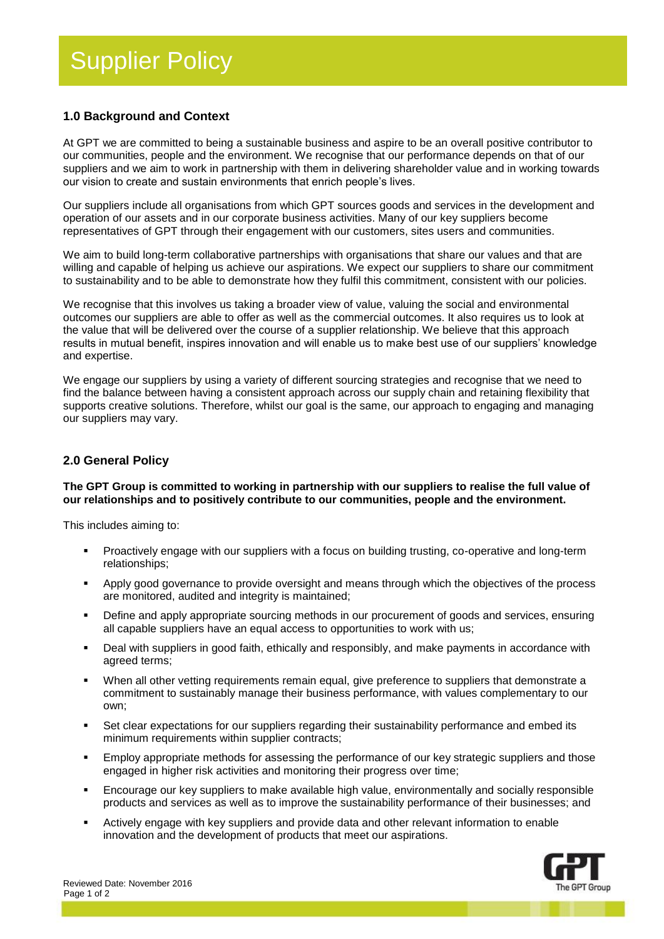# **1.0 Background and Context**

At GPT we are committed to being a sustainable business and aspire to be an overall positive contributor to our communities, people and the environment. We recognise that our performance depends on that of our suppliers and we aim to work in partnership with them in delivering shareholder value and in working towards our vision to create and sustain environments that enrich people's lives.

Our suppliers include all organisations from which GPT sources goods and services in the development and operation of our assets and in our corporate business activities. Many of our key suppliers become representatives of GPT through their engagement with our customers, sites users and communities.

We aim to build long-term collaborative partnerships with organisations that share our values and that are willing and capable of helping us achieve our aspirations. We expect our suppliers to share our commitment to sustainability and to be able to demonstrate how they fulfil this commitment, consistent with our policies.

We recognise that this involves us taking a broader view of value, valuing the social and environmental outcomes our suppliers are able to offer as well as the commercial outcomes. It also requires us to look at the value that will be delivered over the course of a supplier relationship. We believe that this approach results in mutual benefit, inspires innovation and will enable us to make best use of our suppliers' knowledge and expertise.

We engage our suppliers by using a variety of different sourcing strategies and recognise that we need to find the balance between having a consistent approach across our supply chain and retaining flexibility that supports creative solutions. Therefore, whilst our goal is the same, our approach to engaging and managing our suppliers may vary.

### **2.0 General Policy**

#### **The GPT Group is committed to working in partnership with our suppliers to realise the full value of our relationships and to positively contribute to our communities, people and the environment.**

This includes aiming to:

- Proactively engage with our suppliers with a focus on building trusting, co-operative and long-term relationships;
- Apply good governance to provide oversight and means through which the objectives of the process are monitored, audited and integrity is maintained;
- **•** Define and apply appropriate sourcing methods in our procurement of goods and services, ensuring all capable suppliers have an equal access to opportunities to work with us;
- Deal with suppliers in good faith, ethically and responsibly, and make payments in accordance with agreed terms;
- When all other vetting requirements remain equal, give preference to suppliers that demonstrate a commitment to sustainably manage their business performance, with values complementary to our own;
- Set clear expectations for our suppliers regarding their sustainability performance and embed its minimum requirements within supplier contracts;
- Employ appropriate methods for assessing the performance of our key strategic suppliers and those engaged in higher risk activities and monitoring their progress over time;
- Encourage our key suppliers to make available high value, environmentally and socially responsible products and services as well as to improve the sustainability performance of their businesses; and
- Actively engage with key suppliers and provide data and other relevant information to enable innovation and the development of products that meet our aspirations.